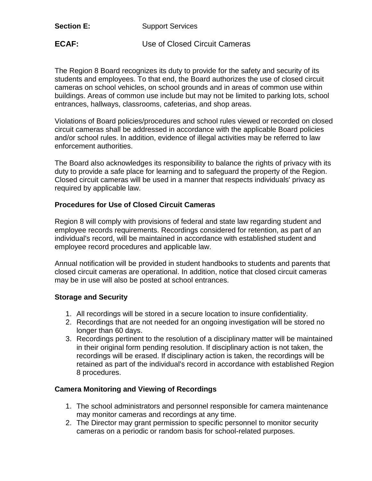| <b>Section E:</b> |  |
|-------------------|--|
|-------------------|--|

**Support Services** 

**ECAF:** Use of Closed Circuit Cameras

The Region 8 Board recognizes its duty to provide for the safety and security of its students and employees. To that end, the Board authorizes the use of closed circuit cameras on school vehicles, on school grounds and in areas of common use within buildings. Areas of common use include but may not be limited to parking lots, school entrances, hallways, classrooms, cafeterias, and shop areas.

Violations of Board policies/procedures and school rules viewed or recorded on closed circuit cameras shall be addressed in accordance with the applicable Board policies and/or school rules. In addition, evidence of illegal activities may be referred to law enforcement authorities.

The Board also acknowledges its responsibility to balance the rights of privacy with its duty to provide a safe place for learning and to safeguard the property of the Region. Closed circuit cameras will be used in a manner that respects individuals' privacy as required by applicable law.

## **Procedures for Use of Closed Circuit Cameras**

Region 8 will comply with provisions of federal and state law regarding student and employee records requirements. Recordings considered for retention, as part of an individual's record, will be maintained in accordance with established student and employee record procedures and applicable law.

Annual notification will be provided in student handbooks to students and parents that closed circuit cameras are operational. In addition, notice that closed circuit cameras may be in use will also be posted at school entrances.

## **Storage and Security**

- 1. All recordings will be stored in a secure location to insure confidentiality.
- 2. Recordings that are not needed for an ongoing investigation will be stored no longer than 60 days.
- 3. Recordings pertinent to the resolution of a disciplinary matter will be maintained in their original form pending resolution. If disciplinary action is not taken, the recordings will be erased. If disciplinary action is taken, the recordings will be retained as part of the individual's record in accordance with established Region 8 procedures.

## **Camera Monitoring and Viewing of Recordings**

- 1. The school administrators and personnel responsible for camera maintenance may monitor cameras and recordings at any time.
- 2. The Director may grant permission to specific personnel to monitor security cameras on a periodic or random basis for school-related purposes.